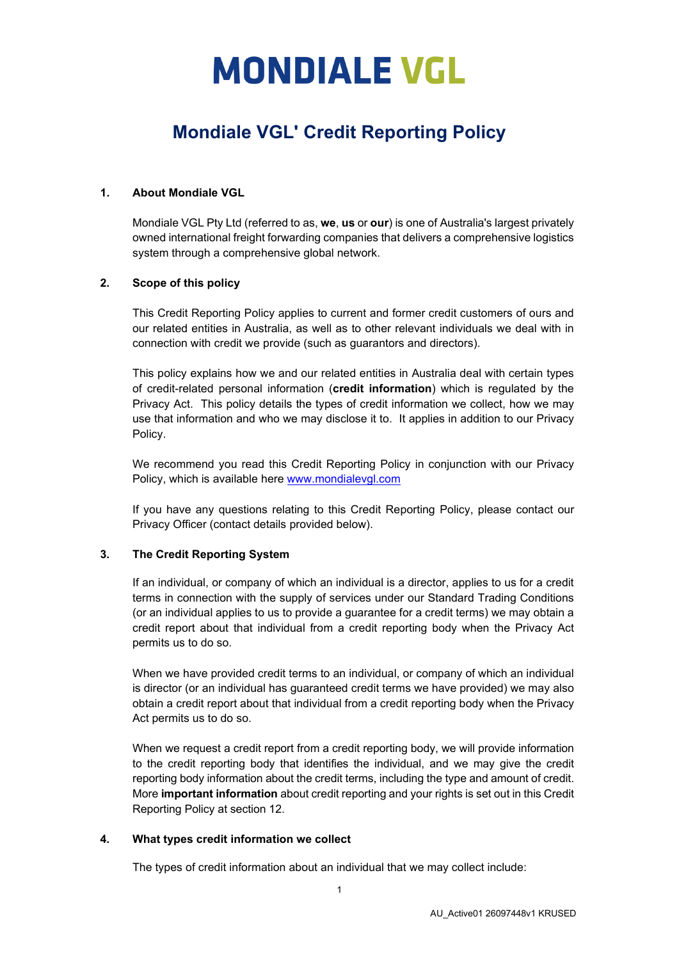### **Mondiale VGL' Credit Reporting Policy**

#### **1. About Mondiale VGL**

Mondiale VGL Pty Ltd (referred to as, **we**, **us** or **our**) is one of Australia's largest privately owned international freight forwarding companies that delivers a comprehensive logistics system through a comprehensive global network.

#### **2. Scope of this policy**

This Credit Reporting Policy applies to current and former credit customers of ours and our related entities in Australia, as well as to other relevant individuals we deal with in connection with credit we provide (such as guarantors and directors).

This policy explains how we and our related entities in Australia deal with certain types of credit-related personal information (**credit information**) which is regulated by the Privacy Act. This policy details the types of credit information we collect, how we may use that information and who we may disclose it to. It applies in addition to our Privacy Policy.

We recommend you read this [Credit Reporting Policy](http://www.mondialevgl.com/) in conjunction with our Privacy Policy, which is available here www.mondialevgl.com

If you have any questions relating to this Credit Reporting Policy, please contact our Privacy Officer (contact details provided below).

#### **3. The Credit Reporting System**

If an individual, or company of which an individual is a director, applies to us for a credit terms in connection with the supply of services under our Standard Trading Conditions (or an individual applies to us to provide a guarantee for a credit terms) we may obtain a credit report about that individual from a credit reporting body when the Privacy Act permits us to do so.

When we have provided credit terms to an individual, or company of which an individual is director (or an individual has guaranteed credit terms we have provided) we may also obtain a credit report about that individual from a credit reporting body when the Privacy Act permits us to do so.

When we request a credit report from a credit reporting body, we will provide information to the credit reporting body that identifies the individual, and we may give the credit reporting body information about the credit terms, including the type and amount of credit. More **important information** about credit reporting and your rights is set out in this Credit Reporting Policy at section 12.

#### **4. What types credit information we collect**

The types of credit information about an individual that we may collect include: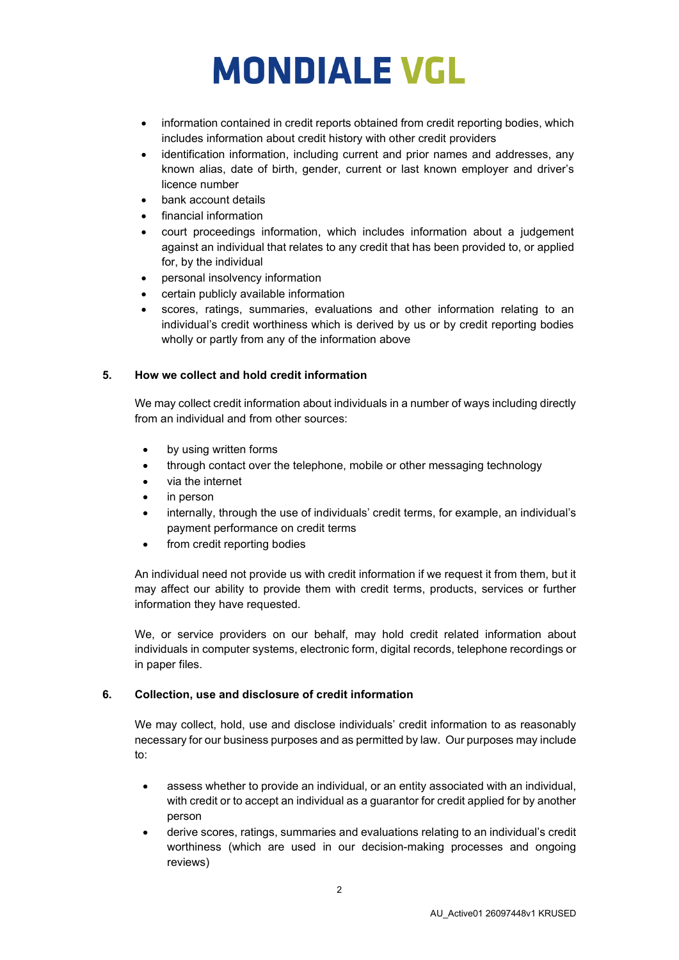- information contained in credit reports obtained from credit reporting bodies, which includes information about credit history with other credit providers
- identification information, including current and prior names and addresses, any known alias, date of birth, gender, current or last known employer and driver's licence number
- bank account details
- financial information
- court proceedings information, which includes information about a judgement against an individual that relates to any credit that has been provided to, or applied for, by the individual
- personal insolvency information
- certain publicly available information
- scores, ratings, summaries, evaluations and other information relating to an individual's credit worthiness which is derived by us or by credit reporting bodies wholly or partly from any of the information above

### **5. How we collect and hold credit information**

We may collect credit information about individuals in a number of ways including directly from an individual and from other sources:

- by using written forms
- through contact over the telephone, mobile or other messaging technology
- via the internet
- in person
- internally, through the use of individuals' credit terms, for example, an individual's payment performance on credit terms
- from credit reporting bodies

An individual need not provide us with credit information if we request it from them, but it may affect our ability to provide them with credit terms, products, services or further information they have requested.

We, or service providers on our behalf, may hold credit related information about individuals in computer systems, electronic form, digital records, telephone recordings or in paper files.

### **6. Collection, use and disclosure of credit information**

We may collect, hold, use and disclose individuals' credit information to as reasonably necessary for our business purposes and as permitted by law. Our purposes may include to:

- assess whether to provide an individual, or an entity associated with an individual, with credit or to accept an individual as a guarantor for credit applied for by another person
- derive scores, ratings, summaries and evaluations relating to an individual's credit worthiness (which are used in our decision-making processes and ongoing reviews)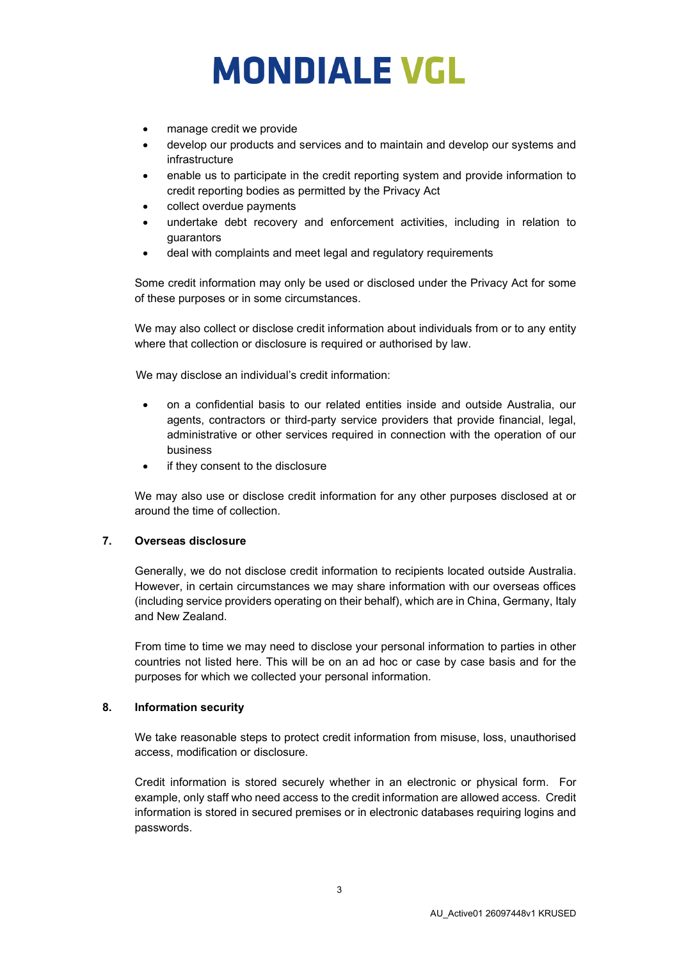- manage credit we provide
- develop our products and services and to maintain and develop our systems and infrastructure
- enable us to participate in the credit reporting system and provide information to credit reporting bodies as permitted by the Privacy Act
- collect overdue payments
- undertake debt recovery and enforcement activities, including in relation to guarantors
- deal with complaints and meet legal and regulatory requirements

Some credit information may only be used or disclosed under the Privacy Act for some of these purposes or in some circumstances.

We may also collect or disclose credit information about individuals from or to any entity where that collection or disclosure is required or authorised by law.

We may disclose an individual's credit information:

- on a confidential basis to our related entities inside and outside Australia, our agents, contractors or third-party service providers that provide financial, legal, administrative or other services required in connection with the operation of our business
- if they consent to the disclosure

We may also use or disclose credit information for any other purposes disclosed at or around the time of collection.

### **7. Overseas disclosure**

Generally, we do not disclose credit information to recipients located outside Australia. However, in certain circumstances we may share information with our overseas offices (including service providers operating on their behalf), which are in China, Germany, Italy and New Zealand.

From time to time we may need to disclose your personal information to parties in other countries not listed here. This will be on an ad hoc or case by case basis and for the purposes for which we collected your personal information.

### **8. Information security**

We take reasonable steps to protect credit information from misuse, loss, unauthorised access, modification or disclosure.

Credit information is stored securely whether in an electronic or physical form. For example, only staff who need access to the credit information are allowed access. Credit information is stored in secured premises or in electronic databases requiring logins and passwords.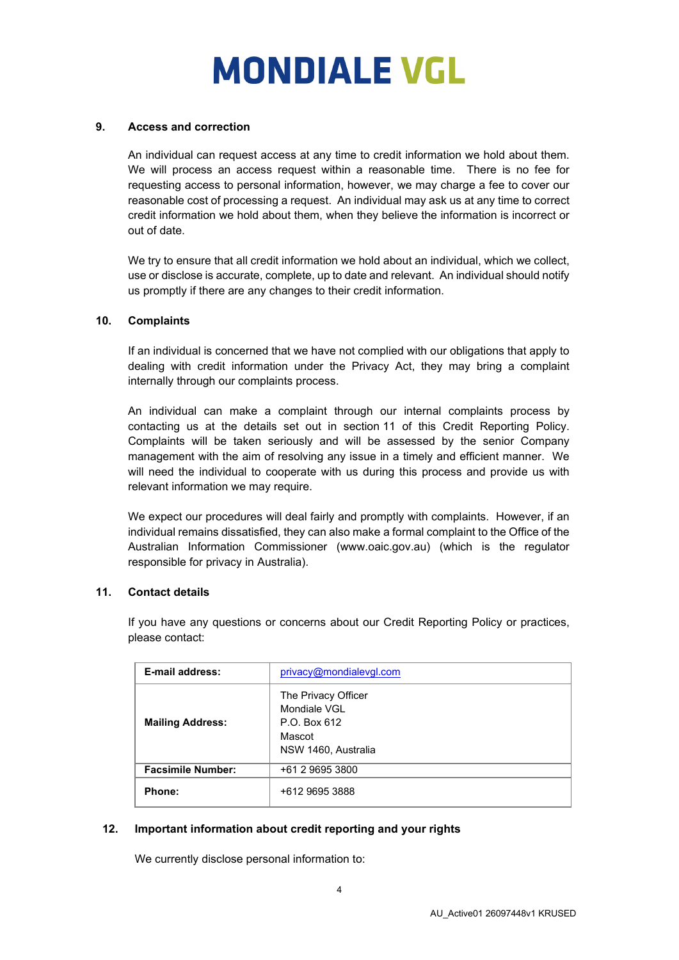### **9. Access and correction**

An individual can request access at any time to credit information we hold about them. We will process an access request within a reasonable time. There is no fee for requesting access to personal information, however, we may charge a fee to cover our reasonable cost of processing a request. An individual may ask us at any time to correct credit information we hold about them, when they believe the information is incorrect or out of date.

We try to ensure that all credit information we hold about an individual, which we collect, use or disclose is accurate, complete, up to date and relevant. An individual should notify us promptly if there are any changes to their credit information.

### **10. Complaints**

If an individual is concerned that we have not complied with our obligations that apply to dealing with credit information under the Privacy Act, they may bring a complaint internally through our complaints process.

An individual can make a complaint through our internal complaints process by contacting us at the details set out in section 11 of this Credit Reporting Policy. Complaints will be taken seriously and will be assessed by the senior Company management with the aim of resolving any issue in a timely and efficient manner. We will need the individual to cooperate with us during this process and provide us with relevant information we may require.

We expect our procedures will deal fairly and promptly with complaints. However, if an individual remains dissatisfied, they can also make a formal complaint to the Office of the Australian Information Commissioner (www.oaic.gov.au) (which is the regulator responsible for privacy in Australia).

### **11. Contact details**

If you have any questions or concerns about our Credit Reporting Policy or practices, please contact:

| E-mail address:          | privacy@mondialevgl.com                                                              |
|--------------------------|--------------------------------------------------------------------------------------|
| <b>Mailing Address:</b>  | The Privacy Officer<br>Mondiale VGL<br>P.O. Box 612<br>Mascot<br>NSW 1460, Australia |
| <b>Facsimile Number:</b> | +61 2 9695 3800                                                                      |
| Phone:                   | +612 9695 3888                                                                       |

### **12. Important information about credit reporting and your rights**

We currently disclose personal information to: